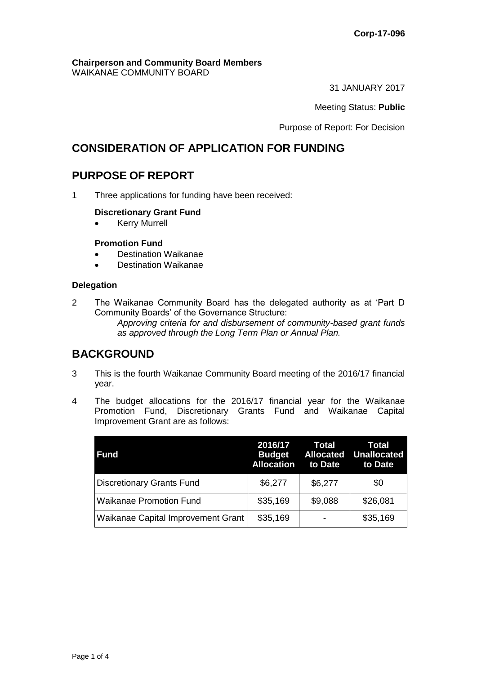#### **Chairperson and Community Board Members** WAIKANAE COMMUNITY BOARD

31 JANUARY 2017

Meeting Status: **Public**

Purpose of Report: For Decision

# **CONSIDERATION OF APPLICATION FOR FUNDING**

# **PURPOSE OF REPORT**

1 Three applications for funding have been received:

#### **Discretionary Grant Fund**

**•** Kerry Murrell

#### **Promotion Fund**

- Destination Waikanae
- Destination Waikanae

#### **Delegation**

2 The Waikanae Community Board has the delegated authority as at 'Part D Community Boards' of the Governance Structure:

*Approving criteria for and disbursement of community-based grant funds as approved through the Long Term Plan or Annual Plan.* 

# **BACKGROUND**

- 3 This is the fourth Waikanae Community Board meeting of the 2016/17 financial year.
- 4 The budget allocations for the 2016/17 financial year for the Waikanae Promotion Fund, Discretionary Grants Fund and Waikanae Capital Improvement Grant are as follows:

| Fund                               | 2016/17<br><b>Budget</b><br><b>Allocation</b> | Total<br><b>Allocated</b><br>to Date | Total<br><b>Unallocated</b><br>to Date |
|------------------------------------|-----------------------------------------------|--------------------------------------|----------------------------------------|
| Discretionary Grants Fund          | \$6,277                                       | \$6,277                              | \$0                                    |
| <b>Waikanae Promotion Fund</b>     | \$35,169                                      | \$9,088                              | \$26,081                               |
| Waikanae Capital Improvement Grant | \$35,169                                      |                                      | \$35,169                               |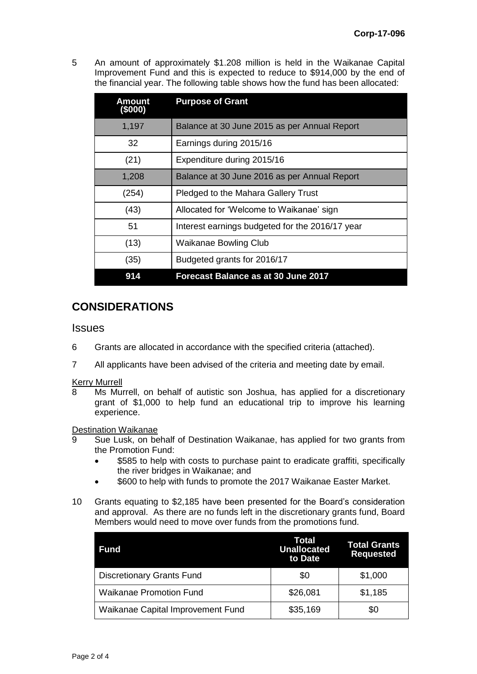5 An amount of approximately \$1.208 million is held in the Waikanae Capital Improvement Fund and this is expected to reduce to \$914,000 by the end of the financial year. The following table shows how the fund has been allocated:

| Amount<br>(\$000) | <b>Purpose of Grant</b>                         |
|-------------------|-------------------------------------------------|
| 1,197             | Balance at 30 June 2015 as per Annual Report    |
| 32                | Earnings during 2015/16                         |
| (21)              | Expenditure during 2015/16                      |
| 1,208             | Balance at 30 June 2016 as per Annual Report    |
| (254)             | Pledged to the Mahara Gallery Trust             |
| (43)              | Allocated for 'Welcome to Waikanae' sign        |
| 51                | Interest earnings budgeted for the 2016/17 year |
| (13)              | <b>Waikanae Bowling Club</b>                    |
| (35)              | Budgeted grants for 2016/17                     |
| 914               | Forecast Balance as at 30 June 2017             |

# **CONSIDERATIONS**

### **Issues**

- 6 Grants are allocated in accordance with the specified criteria (attached).
- 7 All applicants have been advised of the criteria and meeting date by email.

# **Kerry Murrell**<br>8 Ms Mu

Ms Murrell, on behalf of autistic son Joshua, has applied for a discretionary grant of \$1,000 to help fund an educational trip to improve his learning experience.

#### Destination Waikanae

- 9 Sue Lusk, on behalf of Destination Waikanae, has applied for two grants from the Promotion Fund:
	- \$585 to help with costs to purchase paint to eradicate graffiti, specifically the river bridges in Waikanae; and
	- \$600 to help with funds to promote the 2017 Waikanae Easter Market.
- 10 Grants equating to \$2,185 have been presented for the Board's consideration and approval. As there are no funds left in the discretionary grants fund, Board Members would need to move over funds from the promotions fund.

| Fund                              | Total<br><b>Unallocated</b><br>to Date | <b>Total Grants</b><br><b>Requested</b> |
|-----------------------------------|----------------------------------------|-----------------------------------------|
| <b>Discretionary Grants Fund</b>  | \$0                                    | \$1,000                                 |
| <b>Waikanae Promotion Fund</b>    | \$26,081                               | \$1,185                                 |
| Waikanae Capital Improvement Fund | \$35,169                               | \$0                                     |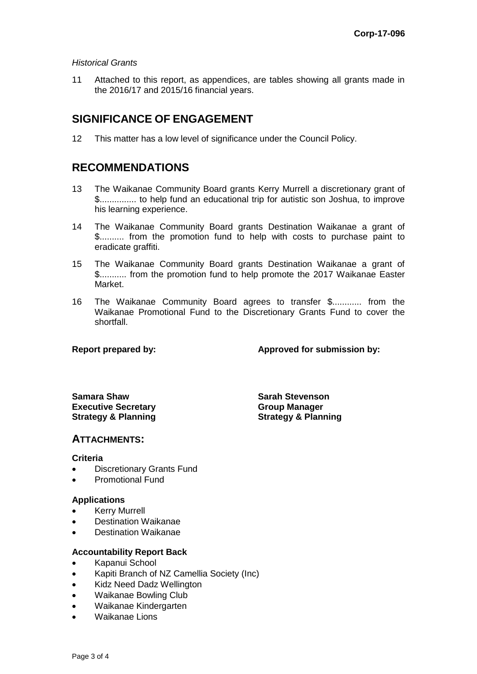#### *Historical Grants*

11 Attached to this report, as appendices, are tables showing all grants made in the 2016/17 and 2015/16 financial years.

## **SIGNIFICANCE OF ENGAGEMENT**

12 This matter has a low level of significance under the Council Policy.

# **RECOMMENDATIONS**

- 13 The Waikanae Community Board grants Kerry Murrell a discretionary grant of \$............... to help fund an educational trip for autistic son Joshua, to improve his learning experience.
- 14 The Waikanae Community Board grants Destination Waikanae a grant of \$.......... from the promotion fund to help with costs to purchase paint to eradicate graffiti.
- 15 The Waikanae Community Board grants Destination Waikanae a grant of \$........... from the promotion fund to help promote the 2017 Waikanae Easter Market.
- 16 The Waikanae Community Board agrees to transfer \$............ from the Waikanae Promotional Fund to the Discretionary Grants Fund to cover the shortfall.

**Report prepared by: Approved for submission by:**

**Samara Shaw Sarah Stevenson Executive Secretary Strategy & Planning**

**Group Manager Strategy & Planning**

### **ATTACHMENTS:**

#### **Criteria**

- Discretionary Grants Fund
- Promotional Fund

#### **Applications**

- Kerry Murrell
- Destination Waikanae
- Destination Waikanae

#### **Accountability Report Back**

- Kapanui School
- Kapiti Branch of NZ Camellia Society (Inc)
- Kidz Need Dadz Wellington
- Waikanae Bowling Club
- Waikanae Kindergarten
- Waikanae Lions